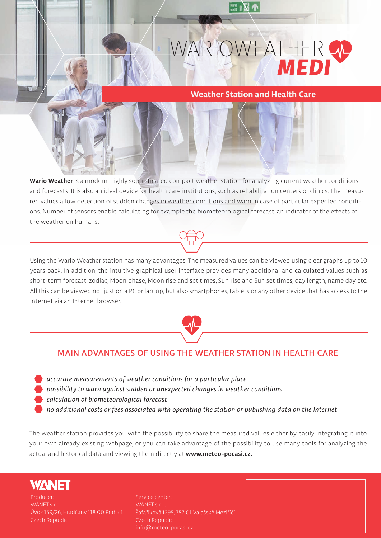

## **Weather Station and Health Care**

**Wario Weather is a modern, highly sophisticated compact weather station for analyzing current weather conditions and forecasts. It is also an ideal device for health care institutions, such as rehabilitation centers or clinics. The measured values allow detection of sudden changes in weather conditions and warn in case of particular expected conditions. Number of sensors enable calculating for example the biometeorological forecast, an indicator of the effects of the weather on humans.**

**Using the Wario Weather station has many advantages. The measured values can be viewed using clear graphs up to 10 years back. In addition, the intuitive graphical user interface provides many additional and calculated values such as short-term forecast, zodiac, Moon phase, Moon rise and set times, Sun rise and Sun set times, day length, name day etc. All this can be viewed not just on a PC or laptop, but also smartphones, tablets or any other device that has access to the Internet via an Internet browser.**



## **MAIN ADVANTAGES OF USING THE WEATHER STATION IN HEALTH CARE**

- *accurate measurements of weather conditions for a particular place*
- *possibility to warn against sudden or unexpected changes in weather conditions*
- *calculation of biometeorological forecast*
- *no additional costs or fees associated with operating the station or publishing data on the Internet*

**The weather station provides you with the possibility to share the measured values either by easily integrating it into your own already existing webpage, or you can take advantage of the possibility to use many tools for analyzing the actual and historical data and viewing them directly at www.meteo-pocasi.cz.**



**Producer: WANET s.r.o. Úvoz 159/26, Hradčany 118 00 Praha 1 Czech Republic**

**Service center: WANET s.r.o. Šafaříková 1295, 757 01 Valašské Meziříčí Czech Republic info@meteo-pocasi.cz**